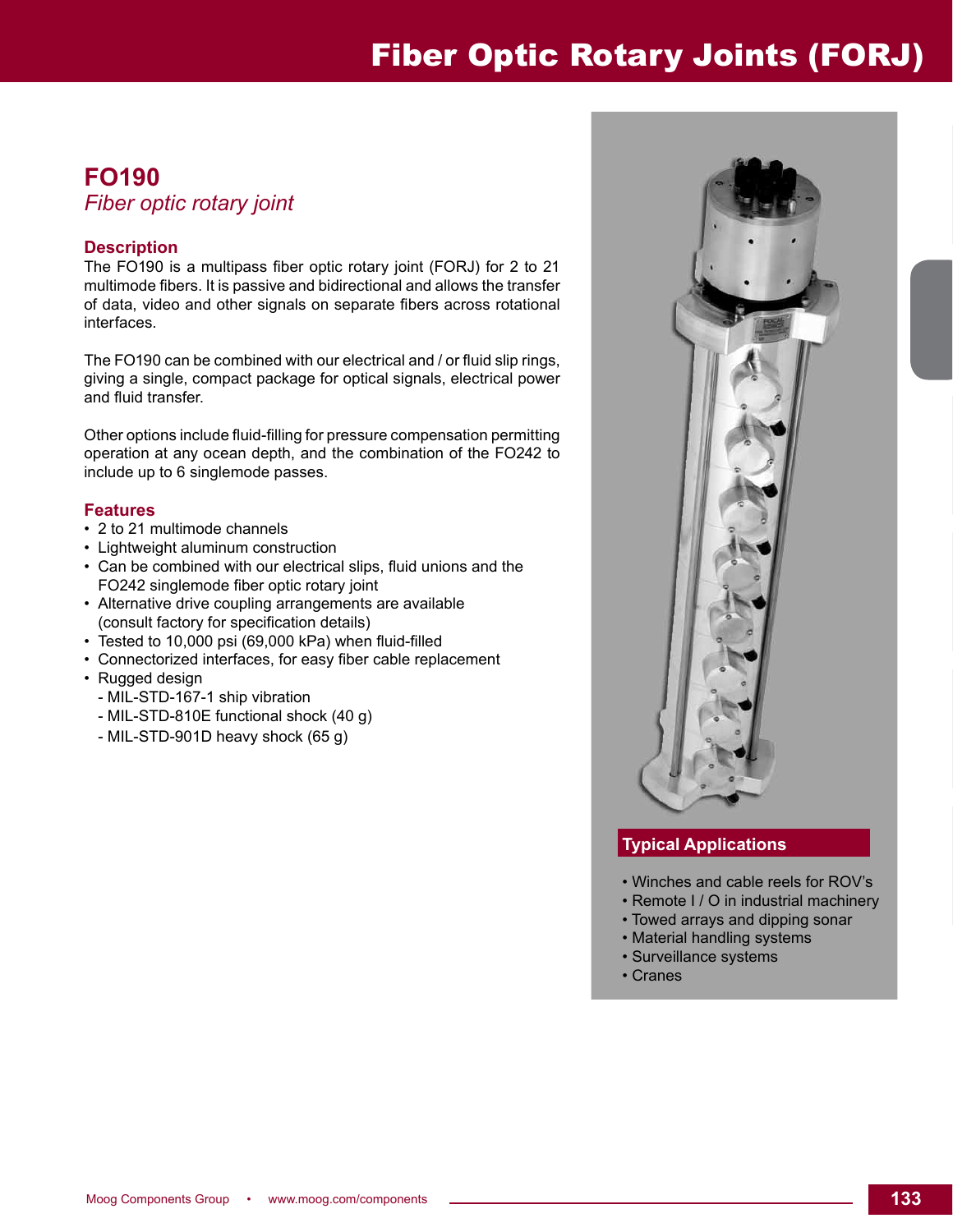## Fiber Optic Rotary Joints (FORJ)

### **FO190**

#### *Fiber optic rotary joint*

#### **Description**

The FO190 is a multipass fiber optic rotary joint (FORJ) for 2 to 21 multimode fibers. It is passive and bidirectional and allows the transfer of data, video and other signals on separate fibers across rotational interfaces.

The FO190 can be combined with our electrical and / or fluid slip rings, giving a single, compact package for optical signals, electrical power and fluid transfer.

Other options include fluid-filling for pressure compensation permitting operation at any ocean depth, and the combination of the FO242 to include up to 6 singlemode passes.

#### **Features**

- 2 to 21 multimode channels
- Lightweight aluminum construction
- Can be combined with our electrical slips, fluid unions and the FO242 singlemode fiber optic rotary joint
- Alternative drive coupling arrangements are available (consult factory for specification details)
- Tested to 10,000 psi (69,000 kPa) when fluid-filled
- Connectorized interfaces, for easy fiber cable replacement
- Rugged design
	- MIL-STD-167-1 ship vibration
	- MIL-STD-810E functional shock (40 g)
	- MIL-STD-901D heavy shock (65 g)



#### **Typical Applications**

- Winches and cable reels for ROV's
- Remote I / O in industrial machinery
- Towed arrays and dipping sonar
- Material handling systems
- Surveillance systems
- Cranes